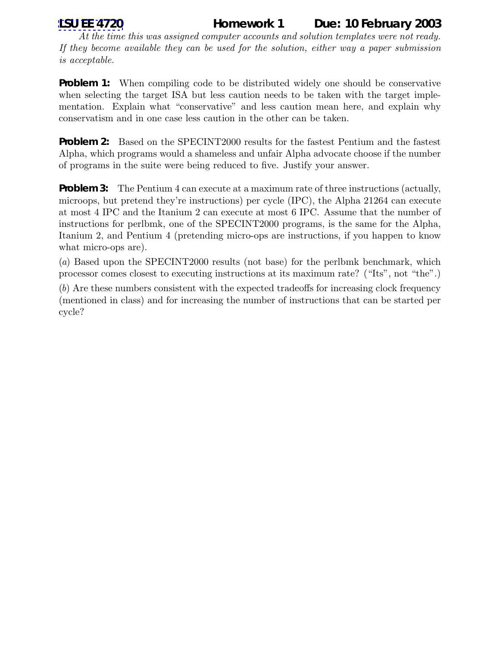## **[LSU EE 4720](http://www.ece.lsu.edu/ee4720/) Homework 1 Due: 10 February 2003**

*At the time this was assigned computer accounts and solution templates were not ready. If they become available they can be used for the solution, either way a paper submission is acceptable.*

**Problem 1:** When compiling code to be distributed widely one should be conservative when selecting the target ISA but less caution needs to be taken with the target implementation. Explain what "conservative" and less caution mean here, and explain why conservatism and in one case less caution in the other can be taken.

**Problem 2:** Based on the SPECINT2000 results for the fastest Pentium and the fastest Alpha, which programs would a shameless and unfair Alpha advocate choose if the number of programs in the suite were being reduced to five. Justify your answer.

**Problem 3:** The Pentium 4 can execute at a maximum rate of three instructions (actually, microops, but pretend they're instructions) per cycle (IPC), the Alpha 21264 can execute at most 4 IPC and the Itanium 2 can execute at most 6 IPC. Assume that the number of instructions for perlbmk, one of the SPECINT2000 programs, is the same for the Alpha, Itanium 2, and Pentium 4 (pretending micro-ops are instructions, if you happen to know what micro-ops are).

(*a*) Based upon the SPECINT2000 results (not base) for the perlbmk benchmark, which processor comes closest to executing instructions at its maximum rate? ("Its", not "the".)

(*b*) Are these numbers consistent with the expected tradeoffs for increasing clock frequency (mentioned in class) and for increasing the number of instructions that can be started per cycle?